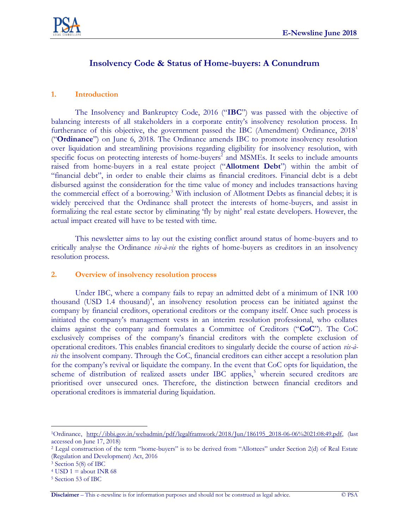

# **Insolvency Code & Status of Home-buyers: A Conundrum**

#### **1. Introduction**

The Insolvency and Bankruptcy Code, 2016 ("**IBC**") was passed with the objective of balancing interests of all stakeholders in a corporate entity's insolvency resolution process. In furtherance of this objective, the government passed the IBC (Amendment) Ordinance,  $2018<sup>1</sup>$ ("**Ordinance**") on June 6, 2018. The Ordinance amends IBC to promote insolvency resolution over liquidation and streamlining provisions regarding eligibility for insolvency resolution, with specific focus on protecting interests of home-buyers<sup>2</sup> and MSMEs. It seeks to include amounts raised from home-buyers in a real estate project ("**Allotment Debt**") within the ambit of "financial debt", in order to enable their claims as financial creditors. Financial debt is a debt disbursed against the consideration for the time value of money and includes transactions having the commercial effect of a borrowing.<sup>3</sup> With inclusion of Allotment Debts as financial debts; it is widely perceived that the Ordinance shall protect the interests of home-buyers, and assist in formalizing the real estate sector by eliminating 'fly by night' real estate developers. However, the actual impact created will have to be tested with time.

This newsletter aims to lay out the existing conflict around status of home-buyers and to critically analyse the Ordinance *vis-à-vis* the rights of home-buyers as creditors in an insolvency resolution process.

#### **2. Overview of insolvency resolution process**

Under IBC, where a company fails to repay an admitted debt of a minimum of INR 100 thousand (USD 1.4 thousand) 4 , an insolvency resolution process can be initiated against the company by financial creditors, operational creditors or the company itself. Once such process is initiated the company"s management vests in an interim resolution professional, who collates claims against the company and formulates a Committee of Creditors ("**CoC**"). The CoC exclusively comprises of the company"s financial creditors with the complete exclusion of operational creditors. This enables financial creditors to singularly decide the course of action *vis-àvis* the insolvent company. Through the CoC, financial creditors can either accept a resolution plan for the company"s revival or liquidate the company. In the event that CoC opts for liquidation, the scheme of distribution of realized assets under IBC applies,<sup>5</sup> wherein secured creditors are prioritised over unsecured ones. Therefore, the distinction between financial creditors and operational creditors is immaterial during liquidation.

 $\overline{a}$ 

<sup>&</sup>lt;sup>1</sup>Ordinance, [http://ibbi.gov.in/webadmin/pdf/legalframwork/2018/Jun/186195\\_2018-06-06%2021:08:49.pdf,](http://ibbi.gov.in/webadmin/pdf/legalframwork/2018/Jun/186195_2018-06-06%2021:08:49.pdf) (last accessed on June 17, 2018)

<sup>2</sup> Legal construction of the term "home-buyers" is to be derived from "Allottees" under Section 2(d) of Real Estate (Regulation and Development) Act, 2016

<sup>3</sup> Section 5(8) of IBC

 $4$  USD  $1 =$  about INR 68

<sup>5</sup> Section 53 of IBC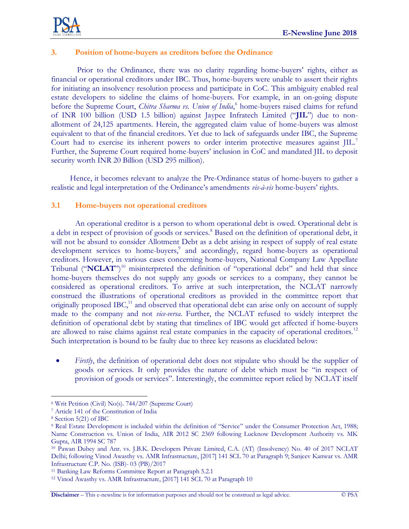

#### **3. Position of home-buyers as creditors before the Ordinance**

Prior to the Ordinance, there was no clarity regarding home-buyers" rights, either as financial or operational creditors under IBC. Thus, home-buyers were unable to assert their rights for initiating an insolvency resolution process and participate in CoC. This ambiguity enabled real estate developers to sideline the claims of home-buyers. For example, in an on-going dispute before the Supreme Court, *Chitra Sharma vs. Union of India*,<sup>6</sup> home-buyers raised claims for refund of INR 100 billion (USD 1.5 billion) against Jaypee Infratech Limited ("**JIL**") due to nonallotment of 24,125 apartments. Herein, the aggregated claim value of home-buyers was almost equivalent to that of the financial creditors. Yet due to lack of safeguards under IBC, the Supreme Court had to exercise its inherent powers to order interim protective measures against JIL.<sup>7</sup> Further, the Supreme Court required home-buyers" inclusion in CoC and mandated JIL to deposit security worth INR 20 Billion (USD 295 million).

Hence, it becomes relevant to analyze the Pre-Ordinance status of home-buyers to gather a realistic and legal interpretation of the Ordinance"s amendments *vis-à-vis* home-buyers" rights.

#### **3.1 Home-buyers not operational creditors**

An operational creditor is a person to whom operational debt is owed. Operational debt is a debt in respect of provision of goods or services.<sup>8</sup> Based on the definition of operational debt, it will not be absurd to consider Allotment Debt as a debt arising in respect of supply of real estate development services to home-buyers,<sup>9</sup> and accordingly, regard home-buyers as operational creditors. However, in various cases concerning home-buyers, National Company Law Appellate Tribunal ("**NCLAT**")<sup>10</sup> misinterpreted the definition of "operational debt" and held that since home-buyers themselves do not supply any goods or services to a company, they cannot be considered as operational creditors. To arrive at such interpretation, the NCLAT narrowly construed the illustrations of operational creditors as provided in the committee report that originally proposed IBC,<sup>11</sup> and observed that operational debt can arise only on account of supply made to the company and not *vice-versa*. Further, the NCLAT refused to widely interpret the definition of operational debt by stating that timelines of IBC would get affected if home-buyers are allowed to raise claims against real estate companies in the capacity of operational creditors.<sup>12</sup> Such interpretation is bound to be faulty due to three key reasons as elucidated below:

• *Firstly*, the definition of operational debt does not stipulate who should be the supplier of goods or services. It only provides the nature of debt which must be "in respect of provision of goods or services". Interestingly, the committee report relied by NCLAT itself

 $\overline{a}$ 

<sup>6</sup> Writ Petition (Civil) No(s). 744/207 (Supreme Court)

<sup>7</sup> Article 141 of the Constitution of India

<sup>8</sup> Section 5(21) of IBC

<sup>9</sup> Real Estate Development is included within the definition of "Service" under the Consumer Protection Act, 1988; Narne Construction vs. Union of India, AIR 2012 SC 2369 following Lucknow Development Authority vs. MK Gupta, AIR 1994 SC 787

<sup>10</sup> Pawan Dubey and Anr. vs. J.B.K. Developers Private Limited, C.A. (AT) (Insolvency) No. 40 of 2017 NCLAT Delhi; following Vinod Awasthy vs. AMR Infrastructure, [2017] 141 SCL 70 at Paragraph 9; Sanjeev Kanwar vs. AMR Infrastructure C.P. No. (ISB)- 03 (PB)/2017

<sup>11</sup> Banking Law Reforms Committee Report at Paragraph 5.2.1

<sup>12</sup> Vinod Awasthy vs. AMR Infrastructure, [2017] 141 SCL 70 at Paragraph 10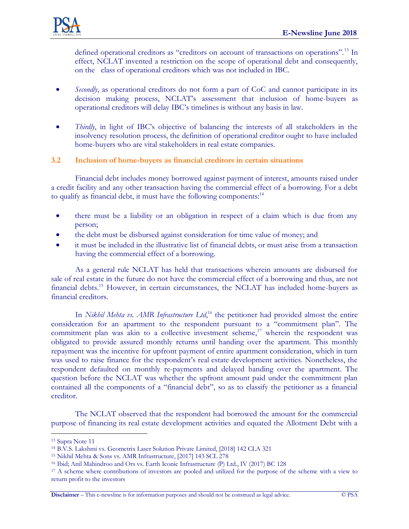

defined operational creditors as "creditors on account of transactions on operations".<sup>13</sup> In effect, NCLAT invented a restriction on the scope of operational debt and consequently, on the class of operational creditors which was not included in IBC.

- *Secondly*, as operational creditors do not form a part of CoC and cannot participate in its decision making process, NCLAT"s assessment that inclusion of home-buyers as operational creditors will delay IBC"s timelines is without any basis in law.
- *Thirdly*, in light of IBC's objective of balancing the interests of all stakeholders in the insolvency resolution process, the definition of operational creditor ought to have included home-buyers who are vital stakeholders in real estate companies.

## **3.2 Inclusion of home-buyers as financial creditors in certain situations**

Financial debt includes money borrowed against payment of interest, amounts raised under a credit facility and any other transaction having the commercial effect of a borrowing. For a debt to qualify as financial debt, it must have the following components:<sup>14</sup>

- there must be a liability or an obligation in respect of a claim which is due from any person;
- the debt must be disbursed against consideration for time value of money; and
- it must be included in the illustrative list of financial debts, or must arise from a transaction having the commercial effect of a borrowing.

As a general rule NCLAT has held that transactions wherein amounts are disbursed for sale of real estate in the future do not have the commercial effect of a borrowing and thus, are not financial debts.<sup>15</sup> However, in certain circumstances, the NCLAT has included home-buyers as financial creditors.

In *Nikhil Mehta vs. AMR Infrastructure Ltd*,<sup>16</sup> the petitioner had provided almost the entire consideration for an apartment to the respondent pursuant to a "commitment plan". The commitment plan was akin to a collective investment scheme, $17$  wherein the respondent was obligated to provide assured monthly returns until handing over the apartment. This monthly repayment was the incentive for upfront payment of entire apartment consideration, which in turn was used to raise finance for the respondent's real estate development activities. Nonetheless, the respondent defaulted on monthly re-payments and delayed handing over the apartment. The question before the NCLAT was whether the upfront amount paid under the commitment plan contained all the components of a "financial debt", so as to classify the petitioner as a financial creditor.

The NCLAT observed that the respondent had borrowed the amount for the commercial purpose of financing its real estate development activities and equated the Allotment Debt with a

 $\overline{a}$ 

**Disclaimer** – This e-newsline is for information purposes and should not be construed as legal advice. © PSA

<sup>13</sup> Supra Note 11

<sup>14</sup> B.V.S. Lakshmi vs. Geometrix Laser Solution Private Limited, [2018] 142 CLA 321

<sup>15</sup> Nikhil Mehta & Sons vs. AMR Infrastructure, [2017] 143 SCL 278

<sup>16</sup> Ibid; Anil Mahindroo and Ors vs. Earth Iconic Infrastructure (P) Ltd., IV (2017) BC 128

<sup>&</sup>lt;sup>17</sup> A scheme where contributions of investors are pooled and utilized for the purpose of the scheme with a view to return profit to the investors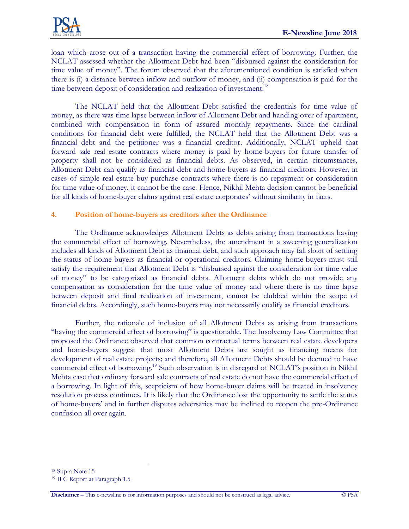loan which arose out of a transaction having the commercial effect of borrowing. Further, the NCLAT assessed whether the Allotment Debt had been "disbursed against the consideration for time value of money"*.* The forum observed that the aforementioned condition is satisfied when there is (i) a distance between inflow and outflow of money, and (ii) compensation is paid for the time between deposit of consideration and realization of investment.<sup>18</sup>

The NCLAT held that the Allotment Debt satisfied the credentials for time value of money, as there was time lapse between inflow of Allotment Debt and handing over of apartment, combined with compensation in form of assured monthly repayments. Since the cardinal conditions for financial debt were fulfilled, the NCLAT held that the Allotment Debt was a financial debt and the petitioner was a financial creditor. Additionally, NCLAT upheld that forward sale real estate contracts where money is paid by home-buyers for future transfer of property shall not be considered as financial debts. As observed, in certain circumstances, Allotment Debt can qualify as financial debt and home-buyers as financial creditors. However, in cases of simple real estate buy-purchase contracts where there is no repayment or consideration for time value of money, it cannot be the case. Hence, Nikhil Mehta decision cannot be beneficial for all kinds of home-buyer claims against real estate corporates" without similarity in facts.

## **4. Position of home-buyers as creditors after the Ordinance**

The Ordinance acknowledges Allotment Debts as debts arising from transactions having the commercial effect of borrowing. Nevertheless, the amendment in a sweeping generalization includes all kinds of Allotment Debt as financial debt, and such approach may fall short of settling the status of home-buyers as financial or operational creditors. Claiming home-buyers must still satisfy the requirement that Allotment Debt is "disbursed against the consideration for time value of money" to be categorized as financial debts. Allotment debts which do not provide any compensation as consideration for the time value of money and where there is no time lapse between deposit and final realization of investment, cannot be clubbed within the scope of financial debts. Accordingly, such home-buyers may not necessarily qualify as financial creditors.

Further, the rationale of inclusion of all Allotment Debts as arising from transactions "having the commercial effect of borrowing" is questionable. The Insolvency Law Committee that proposed the Ordinance observed that common contractual terms between real estate developers and home-buyers suggest that most Allotment Debts are sought as financing means for development of real estate projects; and therefore, all Allotment Debts should be deemed to have commercial effect of borrowing.<sup>19</sup> Such observation is in disregard of NCLAT"s position in Nikhil Mehta case that ordinary forward sale contracts of real estate do not have the commercial effect of a borrowing. In light of this, scepticism of how home-buyer claims will be treated in insolvency resolution process continues. It is likely that the Ordinance lost the opportunity to settle the status of home-buyers" and in further disputes adversaries may be inclined to reopen the pre-Ordinance confusion all over again.

 $\overline{a}$ 

<sup>18</sup> Supra Note 15

<sup>19</sup> ILC Report at Paragraph 1.5